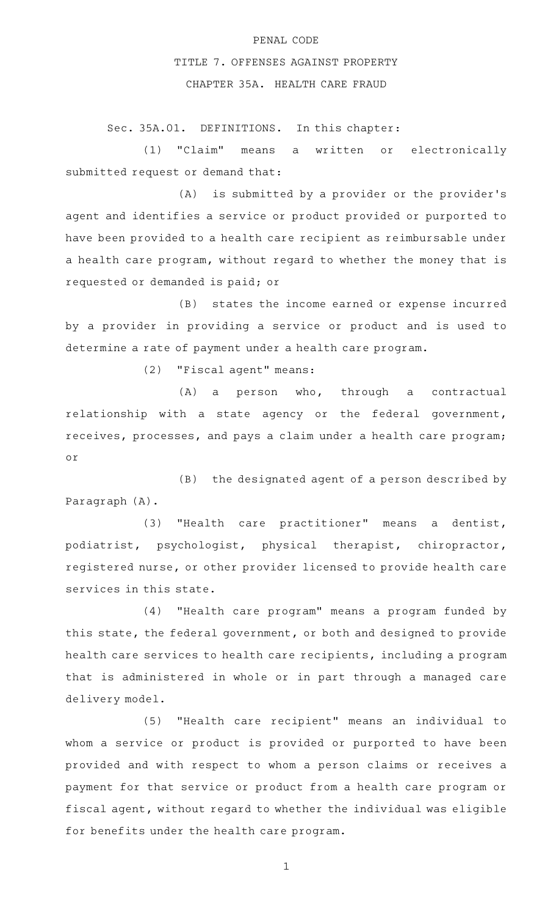## PENAL CODE

## TITLE 7. OFFENSES AGAINST PROPERTY CHAPTER 35A. HEALTH CARE FRAUD

Sec. 35A.01. DEFINITIONS. In this chapter:

(1) "Claim" means a written or electronically submitted request or demand that:

(A) is submitted by a provider or the provider's agent and identifies a service or product provided or purported to have been provided to a health care recipient as reimbursable under a health care program, without regard to whether the money that is requested or demanded is paid; or

(B) states the income earned or expense incurred by a provider in providing a service or product and is used to determine a rate of payment under a health care program.

(2) "Fiscal agent" means:

(A) a person who, through a contractual relationship with a state agency or the federal government, receives, processes, and pays a claim under a health care program; or

(B) the designated agent of a person described by Paragraph (A).

(3) "Health care practitioner" means a dentist, podiatrist, psychologist, physical therapist, chiropractor, registered nurse, or other provider licensed to provide health care services in this state.

(4) "Health care program" means a program funded by this state, the federal government, or both and designed to provide health care services to health care recipients, including a program that is administered in whole or in part through a managed care delivery model.

(5) "Health care recipient" means an individual to whom a service or product is provided or purported to have been provided and with respect to whom a person claims or receives a payment for that service or product from a health care program or fiscal agent, without regard to whether the individual was eligible for benefits under the health care program.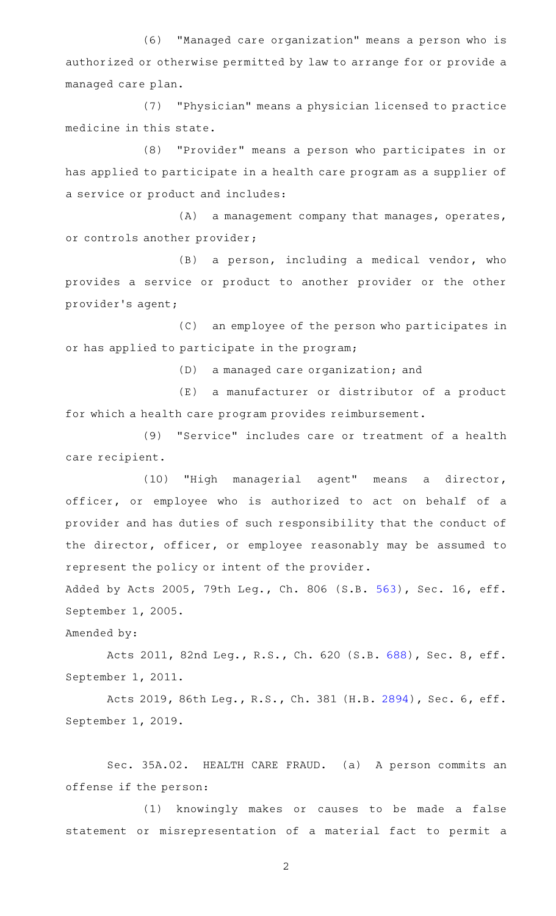(6) "Managed care organization" means a person who is authorized or otherwise permitted by law to arrange for or provide a managed care plan.

(7) "Physician" means a physician licensed to practice medicine in this state.

(8) "Provider" means a person who participates in or has applied to participate in a health care program as a supplier of a service or product and includes:

(A) a management company that manages, operates, or controls another provider;

 $(B)$  a person, including a medical vendor, who provides a service or product to another provider or the other provider 's agent;

(C) an employee of the person who participates in or has applied to participate in the program;

(D) a managed care organization; and

(E) a manufacturer or distributor of a product for which a health care program provides reimbursement.

(9) "Service" includes care or treatment of a health care recipient.

(10) "High managerial agent" means a director, officer, or employee who is authorized to act on behalf of a provider and has duties of such responsibility that the conduct of the director, officer, or employee reasonably may be assumed to represent the policy or intent of the provider.

Added by Acts 2005, 79th Leg., Ch. 806 (S.B. [563](http://www.legis.state.tx.us/tlodocs/79R/billtext/html/SB00563F.HTM)), Sec. 16, eff. September 1, 2005.

Amended by:

Acts 2011, 82nd Leg., R.S., Ch. 620 (S.B. [688](http://www.legis.state.tx.us/tlodocs/82R/billtext/html/SB00688F.HTM)), Sec. 8, eff. September 1, 2011.

Acts 2019, 86th Leg., R.S., Ch. 381 (H.B. [2894](http://www.legis.state.tx.us/tlodocs/86R/billtext/html/HB02894F.HTM)), Sec. 6, eff. September 1, 2019.

Sec. 35A.02. HEALTH CARE FRAUD. (a) A person commits an offense if the person:

(1) knowingly makes or causes to be made a false statement or misrepresentation of a material fact to permit a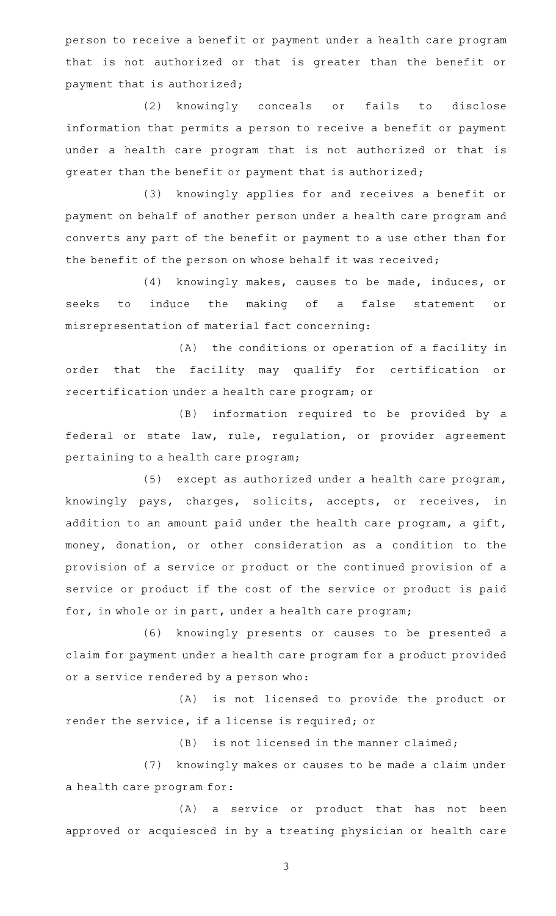person to receive a benefit or payment under a health care program that is not authorized or that is greater than the benefit or payment that is authorized;

(2) knowingly conceals or fails to disclose information that permits a person to receive a benefit or payment under a health care program that is not authorized or that is greater than the benefit or payment that is authorized;

(3) knowingly applies for and receives a benefit or payment on behalf of another person under a health care program and converts any part of the benefit or payment to a use other than for the benefit of the person on whose behalf it was received;

(4) knowingly makes, causes to be made, induces, or seeks to induce the making of a false statement or misrepresentation of material fact concerning:

(A) the conditions or operation of a facility in order that the facility may qualify for certification or recertification under a health care program; or

(B) information required to be provided by a federal or state law, rule, regulation, or provider agreement pertaining to a health care program;

 $(5)$  except as authorized under a health care program, knowingly pays, charges, solicits, accepts, or receives, in addition to an amount paid under the health care program, a gift, money, donation, or other consideration as a condition to the provision of a service or product or the continued provision of a service or product if the cost of the service or product is paid for, in whole or in part, under a health care program;

(6) knowingly presents or causes to be presented a claim for payment under a health care program for a product provided or a service rendered by a person who:

(A) is not licensed to provide the product or render the service, if a license is required; or

 $(B)$  is not licensed in the manner claimed;

(7) knowingly makes or causes to be made a claim under a health care program for:

(A) a service or product that has not been approved or acquiesced in by a treating physician or health care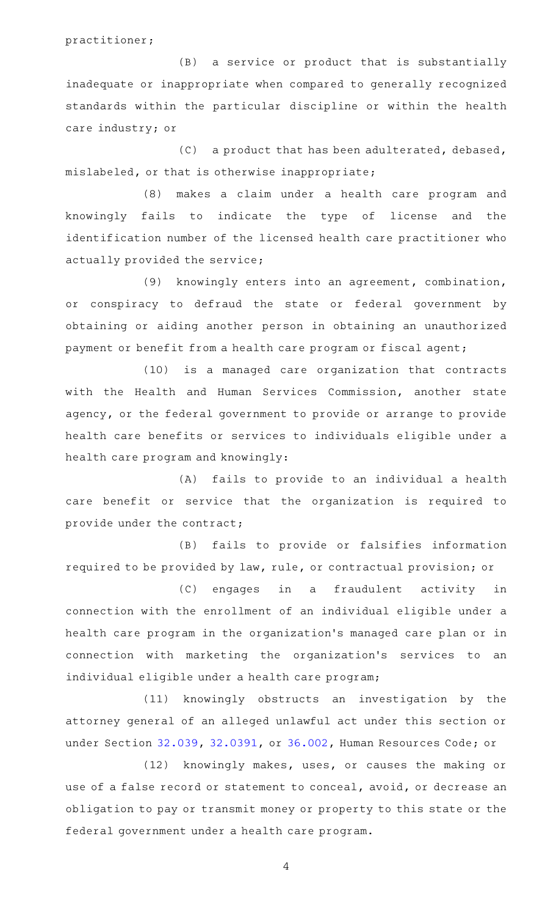practitioner;

(B) a service or product that is substantially inadequate or inappropriate when compared to generally recognized standards within the particular discipline or within the health care industry; or

 $(C)$  a product that has been adulterated, debased, mislabeled, or that is otherwise inappropriate;

(8) makes a claim under a health care program and knowingly fails to indicate the type of license and the identification number of the licensed health care practitioner who actually provided the service;

(9) knowingly enters into an agreement, combination, or conspiracy to defraud the state or federal government by obtaining or aiding another person in obtaining an unauthorized payment or benefit from a health care program or fiscal agent;

(10) is a managed care organization that contracts with the Health and Human Services Commission, another state agency, or the federal government to provide or arrange to provide health care benefits or services to individuals eligible under a health care program and knowingly:

(A) fails to provide to an individual a health care benefit or service that the organization is required to provide under the contract;

(B) fails to provide or falsifies information required to be provided by law, rule, or contractual provision; or

(C) engages in a fraudulent activity in connection with the enrollment of an individual eligible under a health care program in the organization 's managed care plan or in connection with marketing the organization's services to an individual eligible under a health care program;

(11) knowingly obstructs an investigation by the attorney general of an alleged unlawful act under this section or under Section [32.039,](http://www.statutes.legis.state.tx.us/GetStatute.aspx?Code=HR&Value=32.039) [32.0391](http://www.statutes.legis.state.tx.us/GetStatute.aspx?Code=HR&Value=32.0391), or [36.002](http://www.statutes.legis.state.tx.us/GetStatute.aspx?Code=HR&Value=36.002), Human Resources Code; or

(12) knowingly makes, uses, or causes the making or use of a false record or statement to conceal, avoid, or decrease an obligation to pay or transmit money or property to this state or the federal government under a health care program.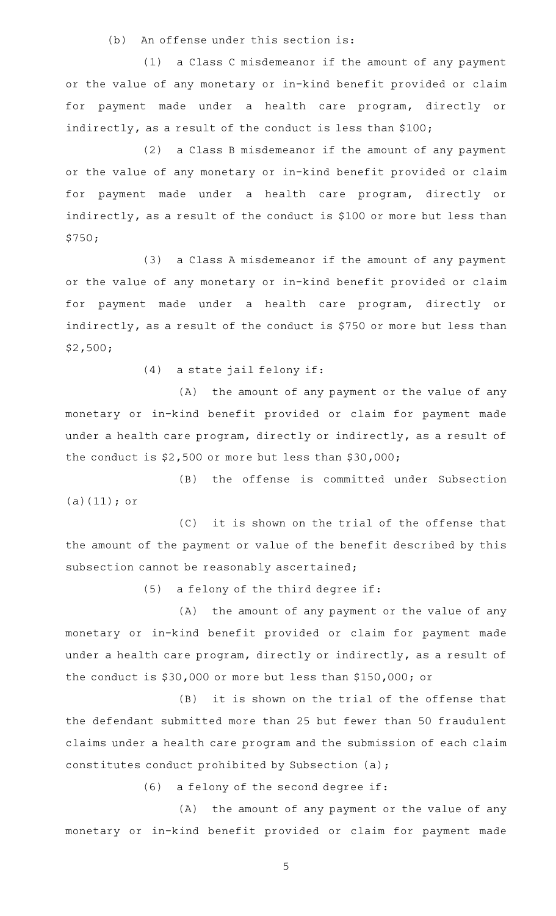(b) An offense under this section is:

(1) a Class C misdemeanor if the amount of any payment or the value of any monetary or in-kind benefit provided or claim for payment made under a health care program, directly or indirectly, as a result of the conduct is less than \$100;

(2) a Class B misdemeanor if the amount of any payment or the value of any monetary or in-kind benefit provided or claim for payment made under a health care program, directly or indirectly, as a result of the conduct is \$100 or more but less than \$750;

(3) a Class A misdemeanor if the amount of any payment or the value of any monetary or in-kind benefit provided or claim for payment made under a health care program, directly or indirectly, as a result of the conduct is \$750 or more but less than \$2,500;

 $(4)$  a state jail felony if:

(A) the amount of any payment or the value of any monetary or in-kind benefit provided or claim for payment made under a health care program, directly or indirectly, as a result of the conduct is \$2,500 or more but less than \$30,000;

(B) the offense is committed under Subsection (a)(11); or

(C) it is shown on the trial of the offense that the amount of the payment or value of the benefit described by this subsection cannot be reasonably ascertained;

 $(5)$  a felony of the third degree if:

(A) the amount of any payment or the value of any monetary or in-kind benefit provided or claim for payment made under a health care program, directly or indirectly, as a result of the conduct is \$30,000 or more but less than \$150,000; or

 $(B)$  it is shown on the trial of the offense that the defendant submitted more than 25 but fewer than 50 fraudulent claims under a health care program and the submission of each claim constitutes conduct prohibited by Subsection (a);

 $(6)$  a felony of the second degree if:

(A) the amount of any payment or the value of any monetary or in-kind benefit provided or claim for payment made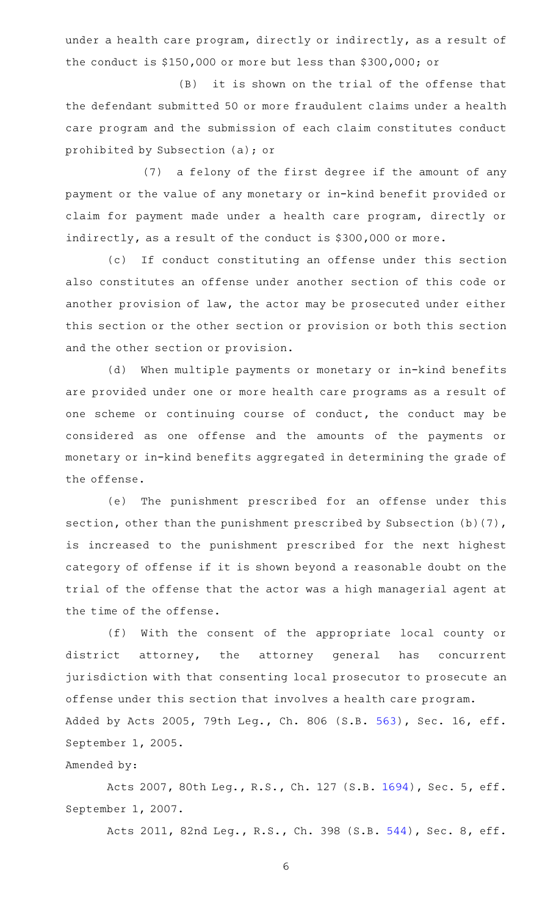under a health care program, directly or indirectly, as a result of the conduct is \$150,000 or more but less than \$300,000; or

(B) it is shown on the trial of the offense that the defendant submitted 50 or more fraudulent claims under a health care program and the submission of each claim constitutes conduct prohibited by Subsection (a); or

(7) a felony of the first degree if the amount of any payment or the value of any monetary or in-kind benefit provided or claim for payment made under a health care program, directly or indirectly, as a result of the conduct is \$300,000 or more.

(c) If conduct constituting an offense under this section also constitutes an offense under another section of this code or another provision of law, the actor may be prosecuted under either this section or the other section or provision or both this section and the other section or provision.

(d) When multiple payments or monetary or in-kind benefits are provided under one or more health care programs as a result of one scheme or continuing course of conduct, the conduct may be considered as one offense and the amounts of the payments or monetary or in-kind benefits aggregated in determining the grade of the offense.

(e) The punishment prescribed for an offense under this section, other than the punishment prescribed by Subsection (b)(7), is increased to the punishment prescribed for the next highest category of offense if it is shown beyond a reasonable doubt on the trial of the offense that the actor was a high managerial agent at the time of the offense.

(f) With the consent of the appropriate local county or district attorney, the attorney general has concurrent jurisdiction with that consenting local prosecutor to prosecute an offense under this section that involves a health care program. Added by Acts 2005, 79th Leg., Ch. 806 (S.B. [563](http://www.legis.state.tx.us/tlodocs/79R/billtext/html/SB00563F.HTM)), Sec. 16, eff. September 1, 2005.

Amended by:

Acts 2007, 80th Leg., R.S., Ch. 127 (S.B. [1694](http://www.legis.state.tx.us/tlodocs/80R/billtext/html/SB01694F.HTM)), Sec. 5, eff. September 1, 2007.

Acts 2011, 82nd Leg., R.S., Ch. 398 (S.B. [544](http://www.legis.state.tx.us/tlodocs/82R/billtext/html/SB00544F.HTM)), Sec. 8, eff.